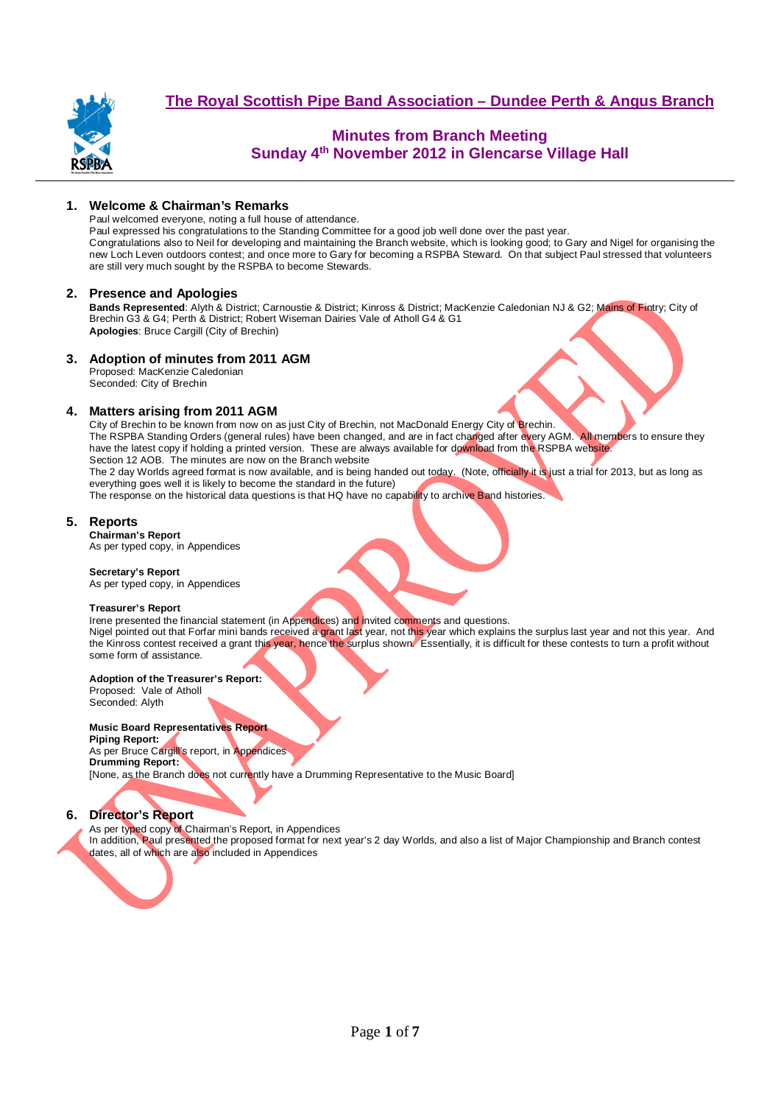

# **Minutes from Branch Meeting Sunday 4th November 2012 in Glencarse Village Hall**

## **1. Welcome & Chairman's Remarks**

Paul welcomed everyone, noting a full house of attendance.

Paul expressed his congratulations to the Standing Committee for a good job well done over the past year. Congratulations also to Neil for developing and maintaining the Branch website, which is looking good; to Gary and Nigel for organising the new Loch Leven outdoors contest; and once more to Gary for becoming a RSPBA Steward. On that subject Paul stressed that volunteers are still very much sought by the RSPBA to become Stewards.

### **2. Presence and Apologies**

**Bands Represented**: Alyth & District; Carnoustie & District; Kinross & District; MacKenzie Caledonian NJ & G2; Mains of Fintry; City of Brechin G3 & G4; Perth & District; Robert Wiseman Dairies Vale of Atholl G4 & G1 **Apologies**: Bruce Cargill (City of Brechin)

### **3. Adoption of minutes from 2011 AGM**

Proposed: MacKenzie Caledonian Seconded: City of Brechin

### **4. Matters arising from 2011 AGM**

City of Brechin to be known from now on as just City of Brechin, not MacDonald Energy City of Brechin. The RSPBA Standing Orders (general rules) have been changed, and are in fact changed after every AGM. All members to ensure they have the latest copy if holding a printed version. These are always available for download from the RSPBA website. Section 12 AOB. The minutes are now on the Branch website The 2 day Worlds agreed format is now available, and is being handed out today. (Note, officially it is just a trial for 2013, but as long as

everything goes well it is likely to become the standard in the future)

The response on the historical data questions is that HQ have no capability to archive Band histories.

### **5. Reports**

**Chairman's Report**  As per typed copy, in Appendices

#### **Secretary's Report**

As per typed copy, in Appendices

#### **Treasurer's Report**

Irene presented the financial statement (in Appendices) and invited comments and questions. Nigel pointed out that Forfar mini bands received a grant last year, not this year which explains the surplus last year and not this year. And the Kinross contest received a grant this year, hence the surplus shown. Essentially, it is difficult for these contests to turn a profit without some form of assistance.

#### **Adoption of the Treasurer's Report:**

Proposed: Vale of Atholl Seconded: Alyth

#### **Music Board Representatives Report**

**Piping Report:**  As per Bruce Cargill's report, in Appendices **Drumming Report:**  [None, as the Branch does not currently have a Drumming Representative to the Music Board]

## **6. Director's Report**

As per typed copy of Chairman's Report, in Appendices

In addition, Paul presented the proposed format for next year's 2 day Worlds, and also a list of Major Championship and Branch contest dates, all of which are also included in Appendices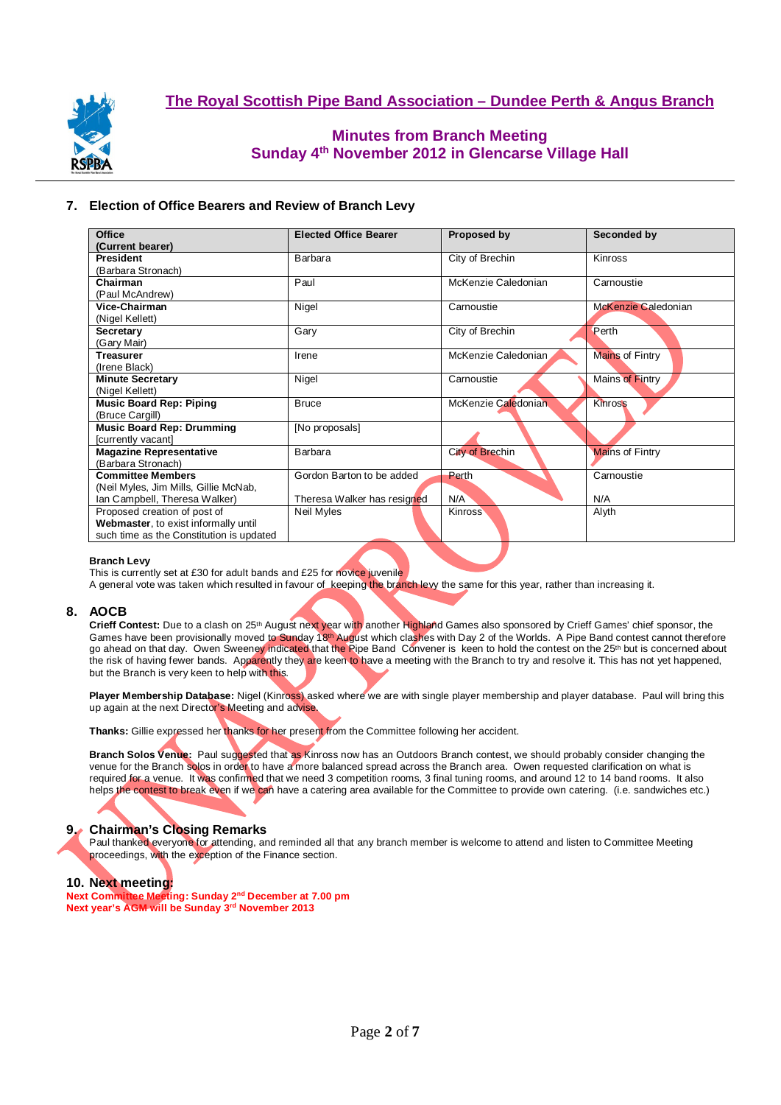

# **Minutes from Branch Meeting Sunday 4th November 2012 in Glencarse Village Hall**

## **7. Election of Office Bearers and Review of Branch Levy**

| Office                                   | <b>Elected Office Bearer</b> | Proposed by         | Seconded by            |
|------------------------------------------|------------------------------|---------------------|------------------------|
| (Current bearer)                         |                              |                     |                        |
| President                                | Barbara                      | City of Brechin     | Kinross                |
| (Barbara Stronach)                       |                              |                     |                        |
| Chairman                                 | Paul                         | McKenzie Caledonian | Carnoustie             |
| (Paul McAndrew)                          |                              |                     |                        |
| Vice-Chairman                            | Nigel                        | Carnoustie          | McKenzie Caledonian    |
| (Nigel Kellett)                          |                              |                     |                        |
| Secretary                                | Gary                         | City of Brechin     | Perth                  |
| (Gary Mair)                              |                              |                     |                        |
| <b>Treasurer</b>                         | Irene                        | McKenzie Caledonian | Mains of Fintry        |
| (Irene Black)                            |                              |                     |                        |
| <b>Minute Secretary</b>                  | Nigel                        | Carnoustie          | Mains of Fintry        |
| (Nigel Kellett)                          |                              |                     |                        |
| <b>Music Board Rep: Piping</b>           | <b>Bruce</b>                 | McKenzie Caledonian | Kinross                |
| (Bruce Cargill)                          |                              |                     |                        |
| <b>Music Board Rep: Drumming</b>         | [No proposals]               |                     |                        |
| [currently vacant]                       |                              |                     |                        |
| <b>Magazine Representative</b>           | Barbara                      | City of Brechin     | <b>Mains of Fintry</b> |
| (Barbara Stronach)                       |                              |                     |                        |
| <b>Committee Members</b>                 | Gordon Barton to be added    | Perth               | Carnoustie             |
| (Neil Myles, Jim Mills, Gillie McNab,    |                              |                     |                        |
| Ian Campbell, Theresa Walker)            | Theresa Walker has resigned  | N/A                 | N/A                    |
| Proposed creation of post of             | Neil Myles                   | <b>Kinross</b>      | Alyth                  |
| Webmaster, to exist informally until     |                              |                     |                        |
| such time as the Constitution is updated |                              |                     |                        |

#### **Branch Levy**

This is currently set at £30 for adult bands and £25 for novice juvenile

A general vote was taken which resulted in favour of keeping the branch levy the same for this year, rather than increasing it.

## **8. AOCB**

Crieff Contest: Due to a clash on 25<sup>th</sup> August next year with another Highland Games also sponsored by Crieff Games' chief sponsor, the Games have been provisionally moved to Sunday 18<sup>th</sup> August which clashes with Day 2 of the Worlds. A Pipe Band contest cannot therefore go ahead on that day. Owen Sweeney indicated that the Pipe Band Convener is keen to hold the contest on the 25<sup>th</sup> but is concerned about the risk of having fewer bands. Apparently they are keen to have a meeting with the Branch to try and resolve it. This has not yet happened, but the Branch is very keen to help with this.

**Player Membership Database:** Nigel (Kinross) asked where we are with single player membership and player database. Paul will bring this up again at the next Director's Meeting and advise.

**Thanks:** Gillie expressed her thanks for her present from the Committee following her accident.

**Branch Solos Venue:** Paul suggested that as Kinross now has an Outdoors Branch contest, we should probably consider changing the venue for the Branch solos in order to have a more balanced spread across the Branch area. Owen requested clarification on what is required for a venue. It was confirmed that we need 3 competition rooms, 3 final tuning rooms, and around 12 to 14 band rooms. It also helps the contest to break even if we can have a catering area available for the Committee to provide own catering. (i.e. sandwiches etc.)



## **9. Chairman's Closing Remarks**

Paul thanked everyone for attending, and reminded all that any branch member is welcome to attend and listen to Committee Meeting proceedings, with the exception of the Finance section.

#### **10. Next meeting:**

**Next Committee Meeting: Sunday 2nd December at 7.00 pm Next year's AGM will be Sunday 3rd November 2013**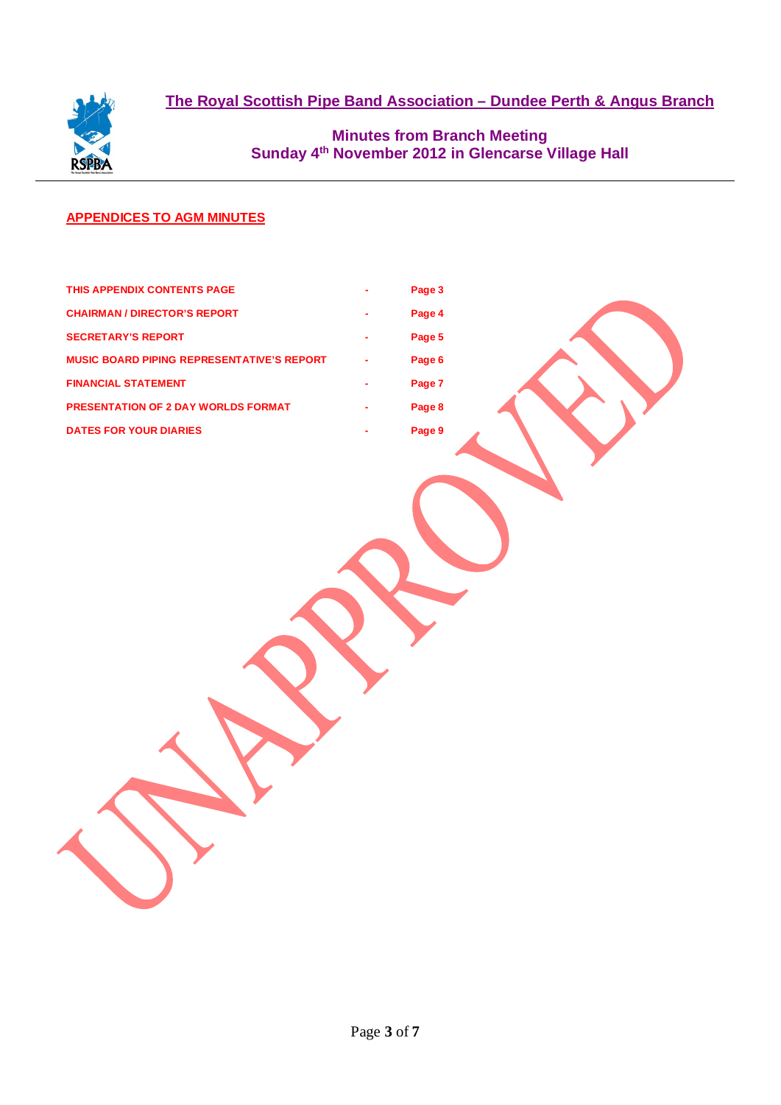

**Minutes from Branch Meeting Sunday 4th November 2012 in Glencarse Village Hall** 

# **APPENDICES TO AGM MINUTES**

| THIS APPENDIX CONTENTS PAGE                       | ۰ | Page 3 |  |
|---------------------------------------------------|---|--------|--|
| <b>CHAIRMAN / DIRECTOR'S REPORT</b>               | ۰ | Page 4 |  |
| <b>SECRETARY'S REPORT</b>                         | ٠ | Page 5 |  |
| <b>MUSIC BOARD PIPING REPRESENTATIVE'S REPORT</b> | ٠ | Page 6 |  |
| <b>FINANCIAL STATEMENT</b>                        | ٠ | Page 7 |  |
| <b>PRESENTATION OF 2 DAY WORLDS FORMAT</b>        | ٠ | Page 8 |  |
| <b>DATES FOR YOUR DIARIES</b>                     | ۰ | Page 9 |  |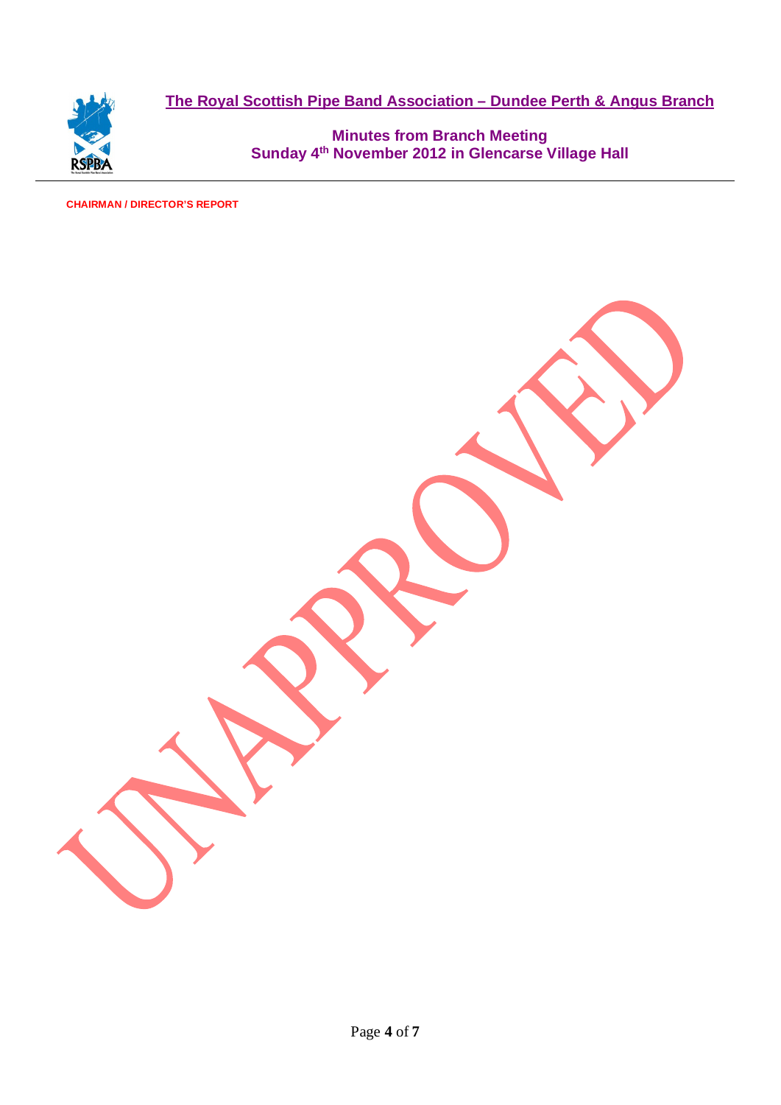

**Minutes from Branch Meeting Sunday 4th November 2012 in Glencarse Village Hall** 

# **CHAIRMAN / DIRECTOR'S REPORT**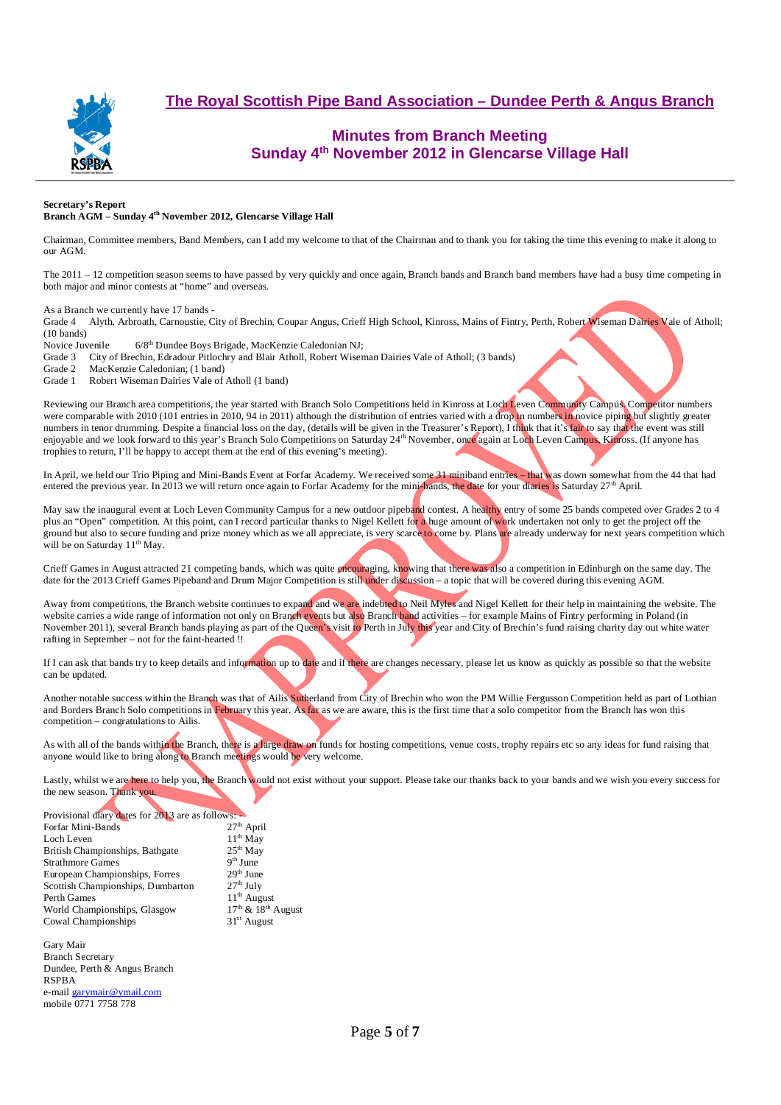

# **Minutes from Branch Meeting Sunday 4th November 2012 in Glencarse Village Hall**

#### **Secretary's Report Branch AGM – Sunday 4th November 2012, Glencarse Village Hall**

Chairman, Committee members, Band Members, can I add my welcome to that of the Chairman and to thank you for taking the time this evening to make it along to our AGM.

The 2011 – 12 competition season seems to have passed by very quickly and once again, Branch bands and Branch band members have had a busy time competing in both major and minor contests at "home" and overseas.

As a Branch we currently have 17 bands -

Grade 4 Alyth, Arbroath, Carnoustie, City of Brechin, Coupar Angus, Crieff High School, Kinross, Mains of Fintry, Perth, Robert Wiseman Dairies Vale of Atholl; (10 bands)

Novice Juvenile 6/8<sup>th</sup> Dundee Boys Brigade, MacKenzie Caledonian NJ;

Grade 3 City of Brechin, Edradour Pitlochry and Blair Atholl, Robert Wiseman Dairies Vale of Atholl; (3 bands)<br>Grade 2 MacKenzie Caledonian: (1 band)

MacKenzie Caledonian; (1 band)

Grade 1 Robert Wiseman Dairies Vale of Atholl (1 band)

Reviewing our Branch area competitions, the year started with Branch Solo Competitions held in Kinross at Loch Leven Community Campus. Competitor numbers were comparable with 2010 (101 entries in 2010, 94 in 2011) although the distribution of entries varied with a drop in numbers in novice piping but slightly greater numbers in tenor drumming. Despite a financial loss on the day, (details will be given in the Treasurer's Report), I think that it's fair to say that the event was still enjoyable and we look forward to this year's Branch Solo Competitions on Saturday 24<sup>th</sup> November, once again at Loch Leven Campus, Kinross. (If anyone has trophies to return, I'll be happy to accept them at the end of this evening's meeting).

In April, we held our Trio Piping and Mini-Bands Event at Forfar Academy. We received some 31 miniband entries – that was down somewhat from the 44 that had entered the previous year. In 2013 we will return once again to Forfar Academy for the mini-bands, the date for your diaries is Saturday  $27<sup>th</sup>$  April.

May saw the inaugural event at Loch Leven Community Campus for a new outdoor pipeband contest. A healthy entry of some 25 bands competed over Grades 2 to 4 plus an "Open" competition. At this point, can I record particular thanks to Nigel Kellett for a huge amount of work undertaken not only to get the project off the ground but also to secure funding and prize money which as we all appreciate, is very scarce to come by. Plans are already underway for next years competition which will be on Saturday 11<sup>th</sup> May.

Crieff Games in August attracted 21 competing bands, which was quite encouraging, knowing that there was also a competition in Edinburgh on the same day. The date for the 2013 Crieff Games Pipeband and Drum Major Competition is still under discussion – a topic that will be covered during this evening AGM.

Away from competitions, the Branch website continues to expand and we are indebted to Neil Myles and Nigel Kellett for their help in maintaining the website. The website carries a wide range of information not only on Branch events but also Branch band activities – for example Mains of Fintry performing in Poland (in November 2011), several Branch bands playing as part of the Queen's visit to Perth in July this year and City of Brechin's fund raising charity day out white water rafting in September – not for the faint-hearted !!

If I can ask that bands try to keep details and information up to date and if there are changes necessary, please let us know as quickly as possible so that the website can be updated.

Another notable success within the Branch was that of Ailis Sutherland from City of Brechin who won the PM Willie Fergusson Competition held as part of Lothian and Borders Branch Solo competitions in February this year. As far as we are aware, this is the first time that a solo competitor from the Branch has won this competition – congratulations to Ailis.

As with all of the bands within the Branch, there is a large draw on funds for hosting competitions, venue costs, trophy repairs etc so any ideas for fund raising that anyone would like to bring along to Branch meetings would be very welcome.

Lastly, whilst we are here to help you, the Branch would not exist without your support. Please take our thanks back to your bands and we wish you every success for the new season. Thank you.

| Provisional diary dates for 2013 are as follows: |                        |
|--------------------------------------------------|------------------------|
| Forfar Mini-Bands                                | $27th$ April           |
| Loch Leven                                       | $11th$ May             |
| British Championships, Bathgate                  | $25th$ May             |
| <b>Strathmore Games</b>                          | $9th$ June             |
| European Championships, Forres                   | $29th$ June            |
| Scottish Championships, Dumbarton                | $27th$ July            |
| Perth Games                                      | $11th$ August          |
| World Championships, Glasgow                     | $17th$ & $18th$ August |
| Cowal Championships                              | $31st$ August          |
|                                                  |                        |

Gary Mair Branch Secretary Dundee, Perth & Angus Branch RSPBA e-mail garymair@ymail.com mobile 0771 7758 778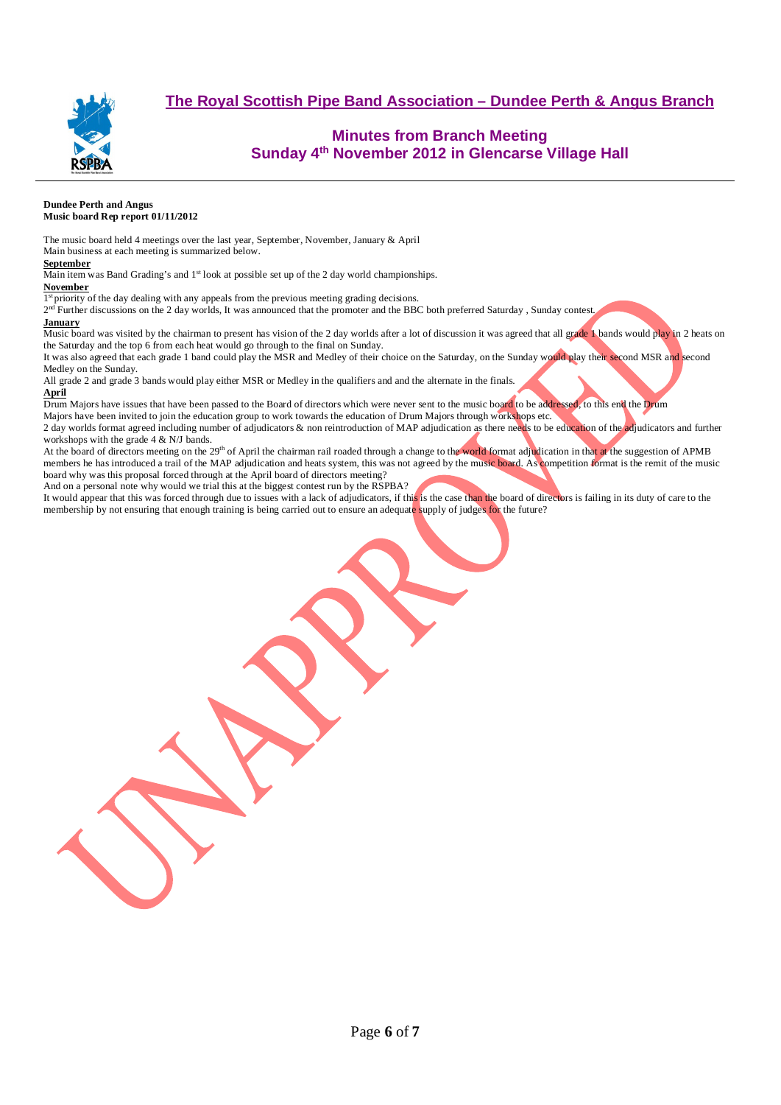

# **Minutes from Branch Meeting Sunday 4th November 2012 in Glencarse Village Hall**

#### **Dundee Perth and Angus Music board Rep report 01/11/2012**

The music board held 4 meetings over the last year, September, November, January & April Main business at each meeting is summarized below.

#### **September**

Main item was Band Grading's and 1<sup>st</sup> look at possible set up of the 2 day world championships.

#### **November**

1<sup>st</sup> priority of the day dealing with any appeals from the previous meeting grading decisions.

 $2<sup>nd</sup>$  Further discussions on the 2 day worlds, It was announced that the promoter and the BBC both preferred Saturday, Sunday contest.

#### **January**

Music board was visited by the chairman to present has vision of the 2 day worlds after a lot of discussion it was agreed that all grade 1 bands would play in 2 heats on the Saturday and the top 6 from each heat would go through to the final on Sunday.

It was also agreed that each grade 1 band could play the MSR and Medley of their choice on the Saturday, on the Sunday would play their second MSR and second Medley on the Sunday.

All grade 2 and grade 3 bands would play either MSR or Medley in the qualifiers and and the alternate in the finals. **April**

Drum Majors have issues that have been passed to the Board of directors which were never sent to the music board to be addressed, to this end the Drum

Majors have been invited to join the education group to work towards the education of Drum Majors through workshops etc. 2 day worlds format agreed including number of adjudicators & non reintroduction of MAP adjudication as there needs to be education of the adjudicators and further workshops with the grade 4 & N/J bands.

At the board of directors meeting on the 29<sup>th</sup> of April the chairman rail roaded through a change to the world format adjudication in that at the suggestion of APMB members he has introduced a trail of the MAP adjudication and heats system, this was not agreed by the music board. As competition format is the remit of the music board why was this proposal forced through at the April board of directors meeting?

And on a personal note why would we trial this at the biggest contest run by the RSPBA?

It would appear that this was forced through due to issues with a lack of adjudicators, if this is the case than the board of directors is failing in its duty of care to the membership by not ensuring that enough training is being carried out to ensure an adequate supply of judges for the future?